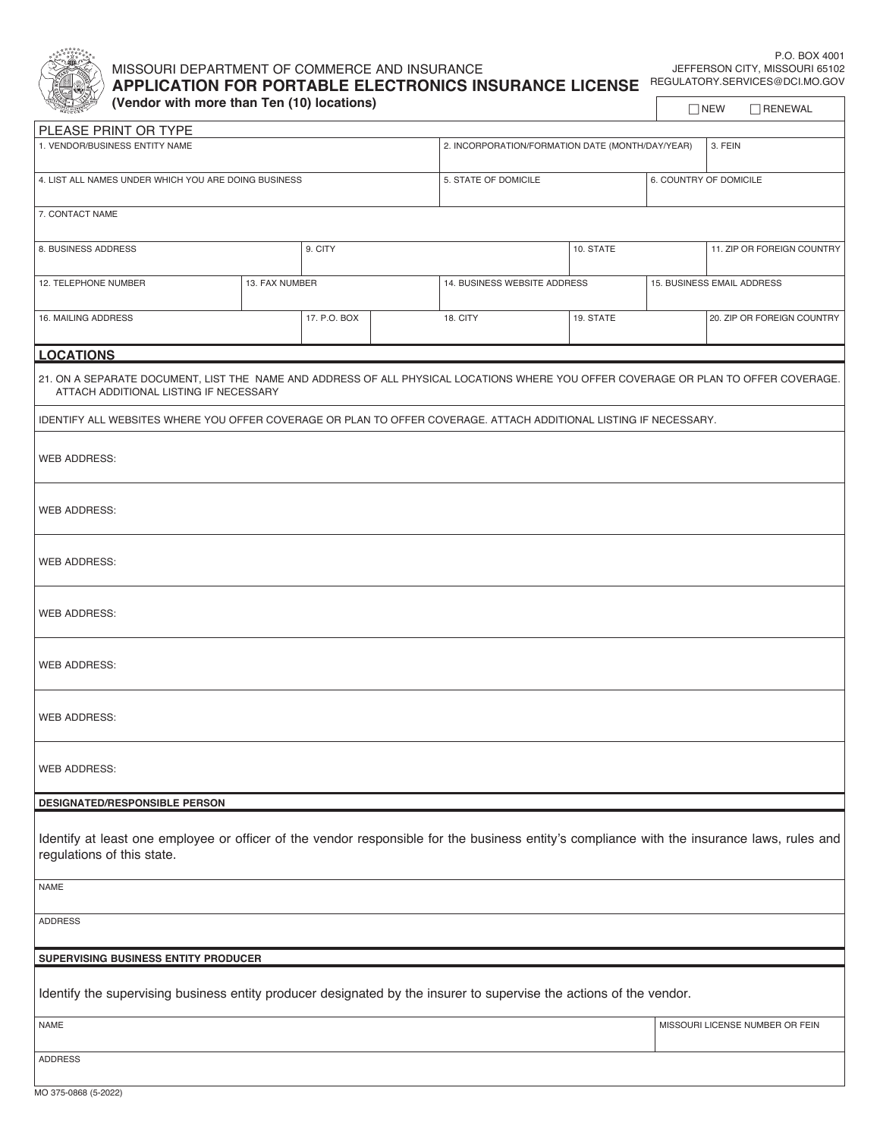

## MISSOURI DEPARTMENT OF COMMERCE AND INSURANCE **APPLICATION FOR PORTABLE ELECTRONICS INSURANCE LICENSE** REGULATORY.SERVICES@DCI.MO.GOV

P.O. BOX 4001 JEFFERSON CITY, MISSOURI 65102

 $\Box$  NEW  $\Box$  RENEWAL

**(Vendor with more than Ten (10) locations)**

| PLEASE PRINT OR TYPE                                                                                                                                                          |                |              |                                                  |                              |           |                        |                            |  |  |  |  |
|-------------------------------------------------------------------------------------------------------------------------------------------------------------------------------|----------------|--------------|--------------------------------------------------|------------------------------|-----------|------------------------|----------------------------|--|--|--|--|
| 1. VENDOR/BUSINESS ENTITY NAME                                                                                                                                                |                |              | 2. INCORPORATION/FORMATION DATE (MONTH/DAY/YEAR) |                              |           | 3. FEIN                |                            |  |  |  |  |
| 4. LIST ALL NAMES UNDER WHICH YOU ARE DOING BUSINESS                                                                                                                          |                |              |                                                  | 5. STATE OF DOMICILE         |           | 6. COUNTRY OF DOMICILE |                            |  |  |  |  |
| 7. CONTACT NAME                                                                                                                                                               |                |              |                                                  |                              |           |                        |                            |  |  |  |  |
| 8. BUSINESS ADDRESS                                                                                                                                                           |                | 9. CITY      |                                                  |                              | 10. STATE |                        | 11. ZIP OR FOREIGN COUNTRY |  |  |  |  |
| 12. TELEPHONE NUMBER                                                                                                                                                          | 13. FAX NUMBER |              |                                                  | 14. BUSINESS WEBSITE ADDRESS |           |                        | 15. BUSINESS EMAIL ADDRESS |  |  |  |  |
| 16. MAILING ADDRESS                                                                                                                                                           |                | 17. P.O. BOX |                                                  | 18. CITY<br>19. STATE        |           |                        | 20. ZIP OR FOREIGN COUNTRY |  |  |  |  |
| <b>LOCATIONS</b>                                                                                                                                                              |                |              |                                                  |                              |           |                        |                            |  |  |  |  |
| 21. ON A SEPARATE DOCUMENT, LIST THE NAME AND ADDRESS OF ALL PHYSICAL LOCATIONS WHERE YOU OFFER COVERAGE OR PLAN TO OFFER COVERAGE.<br>ATTACH ADDITIONAL LISTING IF NECESSARY |                |              |                                                  |                              |           |                        |                            |  |  |  |  |
| IDENTIFY ALL WEBSITES WHERE YOU OFFER COVERAGE OR PLAN TO OFFER COVERAGE. ATTACH ADDITIONAL LISTING IF NECESSARY.                                                             |                |              |                                                  |                              |           |                        |                            |  |  |  |  |
| <b>WEB ADDRESS:</b>                                                                                                                                                           |                |              |                                                  |                              |           |                        |                            |  |  |  |  |
| <b>WEB ADDRESS:</b>                                                                                                                                                           |                |              |                                                  |                              |           |                        |                            |  |  |  |  |
| <b>WEB ADDRESS:</b>                                                                                                                                                           |                |              |                                                  |                              |           |                        |                            |  |  |  |  |
| <b>WEB ADDRESS:</b>                                                                                                                                                           |                |              |                                                  |                              |           |                        |                            |  |  |  |  |
| <b>WEB ADDRESS:</b>                                                                                                                                                           |                |              |                                                  |                              |           |                        |                            |  |  |  |  |
| <b>WEB ADDRESS:</b>                                                                                                                                                           |                |              |                                                  |                              |           |                        |                            |  |  |  |  |
| <b>WEB ADDRESS:</b>                                                                                                                                                           |                |              |                                                  |                              |           |                        |                            |  |  |  |  |
| DESIGNATED/RESPONSIBLE PERSON                                                                                                                                                 |                |              |                                                  |                              |           |                        |                            |  |  |  |  |
| Identify at least one employee or officer of the vendor responsible for the business entity's compliance with the insurance laws, rules and<br>regulations of this state.     |                |              |                                                  |                              |           |                        |                            |  |  |  |  |
| NAME                                                                                                                                                                          |                |              |                                                  |                              |           |                        |                            |  |  |  |  |
| <b>ADDRESS</b>                                                                                                                                                                |                |              |                                                  |                              |           |                        |                            |  |  |  |  |
| SUPERVISING BUSINESS ENTITY PRODUCER                                                                                                                                          |                |              |                                                  |                              |           |                        |                            |  |  |  |  |
| Identify the supervising business entity producer designated by the insurer to supervise the actions of the vendor.                                                           |                |              |                                                  |                              |           |                        |                            |  |  |  |  |

NAME MISSOURI LICENSE NUMBER OR FEIN

ADDRESS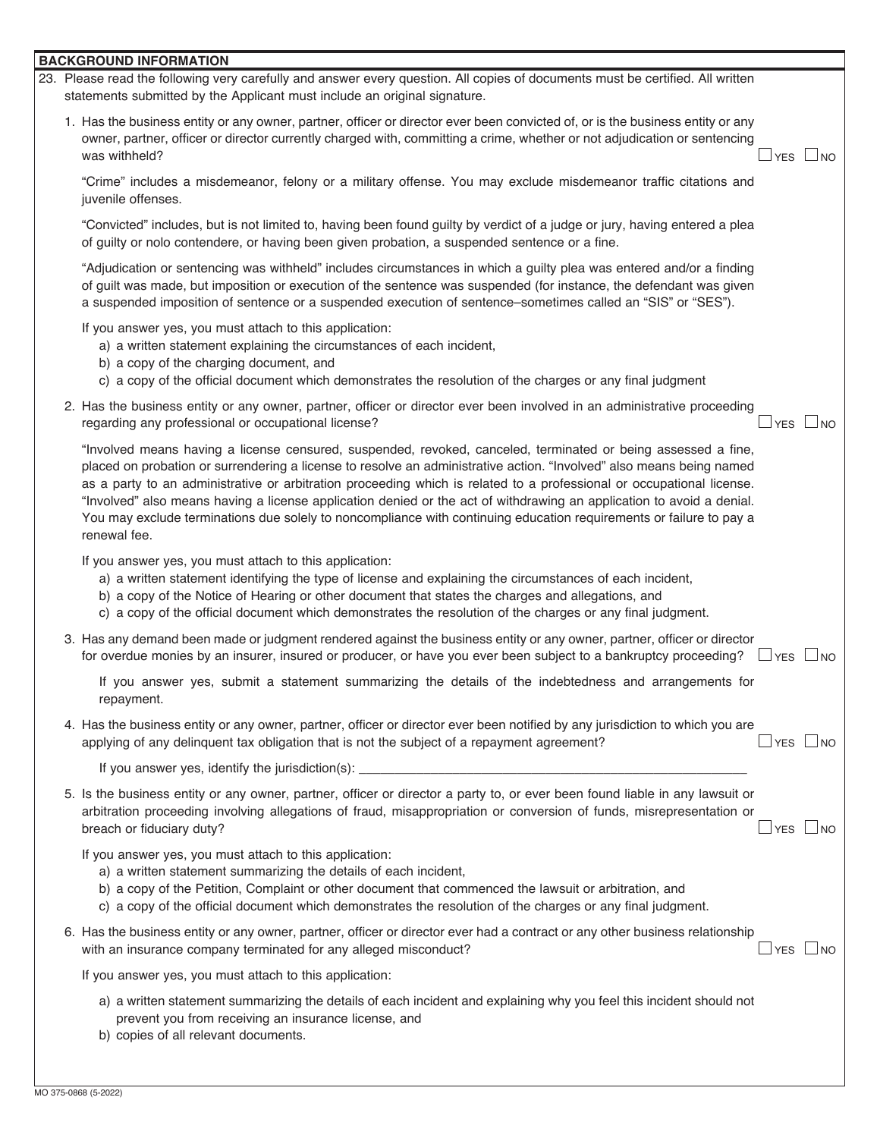## **BACKGROUND INFORMATION**

| 23. Please read the following very carefully and answer every question. All copies of documents must be certified. All written<br>statements submitted by the Applicant must include an original signature.                                                                                                                                                                                                                                                                                                                                                                                                                    |  |                          |
|--------------------------------------------------------------------------------------------------------------------------------------------------------------------------------------------------------------------------------------------------------------------------------------------------------------------------------------------------------------------------------------------------------------------------------------------------------------------------------------------------------------------------------------------------------------------------------------------------------------------------------|--|--------------------------|
| 1. Has the business entity or any owner, partner, officer or director ever been convicted of, or is the business entity or any<br>owner, partner, officer or director currently charged with, committing a crime, whether or not adjudication or sentencing<br>was withheld?                                                                                                                                                                                                                                                                                                                                                   |  | $\sqcup$ yes $\sqcup$ no |
| "Crime" includes a misdemeanor, felony or a military offense. You may exclude misdemeanor traffic citations and<br>juvenile offenses.                                                                                                                                                                                                                                                                                                                                                                                                                                                                                          |  |                          |
| "Convicted" includes, but is not limited to, having been found guilty by verdict of a judge or jury, having entered a plea<br>of guilty or nolo contendere, or having been given probation, a suspended sentence or a fine.                                                                                                                                                                                                                                                                                                                                                                                                    |  |                          |
| "Adjudication or sentencing was withheld" includes circumstances in which a guilty plea was entered and/or a finding<br>of guilt was made, but imposition or execution of the sentence was suspended (for instance, the defendant was given<br>a suspended imposition of sentence or a suspended execution of sentence-sometimes called an "SIS" or "SES").                                                                                                                                                                                                                                                                    |  |                          |
| If you answer yes, you must attach to this application:<br>a) a written statement explaining the circumstances of each incident,<br>b) a copy of the charging document, and<br>c) a copy of the official document which demonstrates the resolution of the charges or any final judgment                                                                                                                                                                                                                                                                                                                                       |  |                          |
| 2. Has the business entity or any owner, partner, officer or director ever been involved in an administrative proceeding<br>regarding any professional or occupational license?                                                                                                                                                                                                                                                                                                                                                                                                                                                |  | $\sqcup$ yes $\sqcup$ no |
| "Involved means having a license censured, suspended, revoked, canceled, terminated or being assessed a fine,<br>placed on probation or surrendering a license to resolve an administrative action. "Involved" also means being named<br>as a party to an administrative or arbitration proceeding which is related to a professional or occupational license.<br>"Involved" also means having a license application denied or the act of withdrawing an application to avoid a denial.<br>You may exclude terminations due solely to noncompliance with continuing education requirements or failure to pay a<br>renewal fee. |  |                          |
| If you answer yes, you must attach to this application:<br>a) a written statement identifying the type of license and explaining the circumstances of each incident,<br>b) a copy of the Notice of Hearing or other document that states the charges and allegations, and<br>c) a copy of the official document which demonstrates the resolution of the charges or any final judgment.                                                                                                                                                                                                                                        |  |                          |
| 3. Has any demand been made or judgment rendered against the business entity or any owner, partner, officer or director<br>for overdue monies by an insurer, insured or producer, or have you ever been subject to a bankruptcy proceeding? $\Box$ YES $\Box$ NO                                                                                                                                                                                                                                                                                                                                                               |  |                          |
| If you answer yes, submit a statement summarizing the details of the indebtedness and arrangements for<br>repayment.                                                                                                                                                                                                                                                                                                                                                                                                                                                                                                           |  |                          |
| 4. Has the business entity or any owner, partner, officer or director ever been notified by any jurisdiction to which you are<br>applying of any delinquent tax obligation that is not the subject of a repayment agreement?                                                                                                                                                                                                                                                                                                                                                                                                   |  | $\exists$ YES $\Box$ NO  |
| If you answer yes, identify the jurisdiction(s): _______________________________                                                                                                                                                                                                                                                                                                                                                                                                                                                                                                                                               |  |                          |
| 5. Is the business entity or any owner, partner, officer or director a party to, or ever been found liable in any lawsuit or<br>arbitration proceeding involving allegations of fraud, misappropriation or conversion of funds, misrepresentation or<br>breach or fiduciary duty?                                                                                                                                                                                                                                                                                                                                              |  | $\sqcup$ yes $\sqcup$ no |
| If you answer yes, you must attach to this application:<br>a) a written statement summarizing the details of each incident,<br>b) a copy of the Petition, Complaint or other document that commenced the lawsuit or arbitration, and<br>c) a copy of the official document which demonstrates the resolution of the charges or any final judgment.                                                                                                                                                                                                                                                                             |  |                          |
| 6. Has the business entity or any owner, partner, officer or director ever had a contract or any other business relationship<br>with an insurance company terminated for any alleged misconduct?                                                                                                                                                                                                                                                                                                                                                                                                                               |  | ⊿YES ∟NO                 |
| If you answer yes, you must attach to this application:                                                                                                                                                                                                                                                                                                                                                                                                                                                                                                                                                                        |  |                          |
| a) a written statement summarizing the details of each incident and explaining why you feel this incident should not<br>prevent you from receiving an insurance license, and<br>b) copies of all relevant documents.                                                                                                                                                                                                                                                                                                                                                                                                           |  |                          |